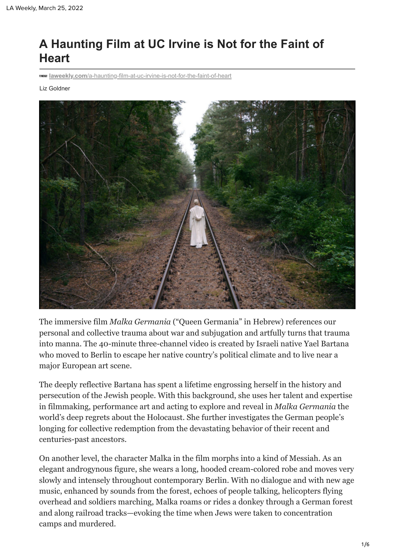## **A Haunting Film at UC Irvine is Not for the Faint of Heart**

**laweekly.com**[/a-haunting-film-at-uc-irvine-is-not-for-the-faint-of-heart](https://www.laweekly.com/a-haunting-film-at-uc-irvine-is-not-for-the-faint-of-heart/)

Liz Goldner



The immersive film *Malka Germania* ("Queen Germania" in Hebrew) references our personal and collective trauma about war and subjugation and artfully turns that trauma into manna. The 40-minute three-channel video is created by Israeli native Yael Bartana who moved to Berlin to escape her native country's political climate and to live near a major European art scene.

The deeply reflective Bartana has spent a lifetime engrossing herself in the history and persecution of the Jewish people. With this background, she uses her talent and expertise in filmmaking, performance art and acting to explore and reveal in *Malka Germania* the world's deep regrets about the Holocaust. She further investigates the German people's longing for collective redemption from the devastating behavior of their recent and centuries-past ancestors.

On another level, the character Malka in the film morphs into a kind of Messiah. As an elegant androgynous figure, she wears a long, hooded cream-colored robe and moves very slowly and intensely throughout contemporary Berlin. With no dialogue and with new age music, enhanced by sounds from the forest, echoes of people talking, helicopters flying overhead and soldiers marching, Malka roams or rides a donkey through a German forest and along railroad tracks—evoking the time when Jews were taken to concentration camps and murdered.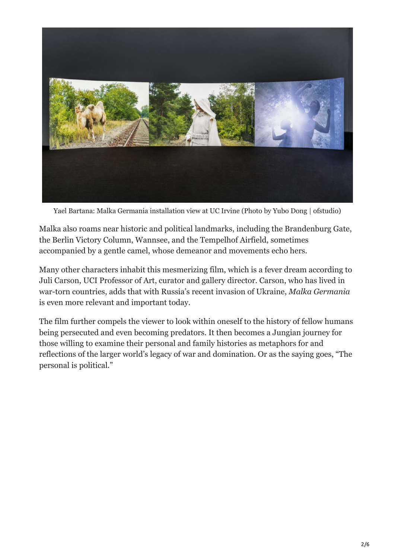

Yael Bartana: Malka Germania installation view at UC Irvine (Photo by Yubo Dong | ofstudio)

Malka also roams near historic and political landmarks, including the Brandenburg Gate, the Berlin Victory Column, Wannsee, and the Tempelhof Airfield, sometimes accompanied by a gentle camel, whose demeanor and movements echo hers.

Many other characters inhabit this mesmerizing film, which is a fever dream according to Juli Carson, UCI Professor of Art, curator and gallery director. Carson, who has lived in war-torn countries, adds that with Russia's recent invasion of Ukraine, *Malka Germania* is even more relevant and important today.

The film further compels the viewer to look within oneself to the history of fellow humans being persecuted and even becoming predators. It then becomes a Jungian journey for those willing to examine their personal and family histories as metaphors for and reflections of the larger world's legacy of war and domination. Or as the saying goes, "The personal is political."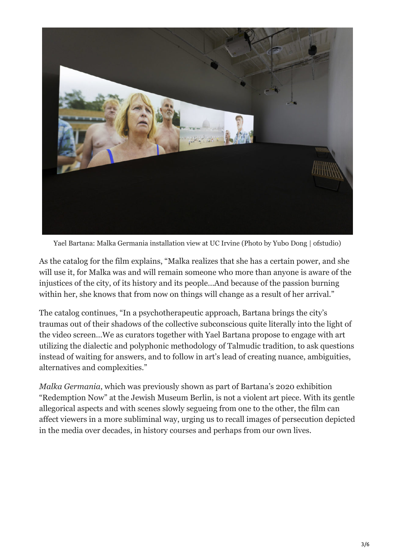

Yael Bartana: Malka Germania installation view at UC Irvine (Photo by Yubo Dong | ofstudio)

As the catalog for the film explains, "Malka realizes that she has a certain power, and she will use it, for Malka was and will remain someone who more than anyone is aware of the injustices of the city, of its history and its people…And because of the passion burning within her, she knows that from now on things will change as a result of her arrival."

The catalog continues, "In a psychotherapeutic approach, Bartana brings the city's traumas out of their shadows of the collective subconscious quite literally into the light of the video screen…We as curators together with Yael Bartana propose to engage with art utilizing the dialectic and polyphonic methodology of Talmudic tradition, to ask questions instead of waiting for answers, and to follow in art's lead of creating nuance, ambiguities, alternatives and complexities."

*Malka Germania*, which was previously shown as part of Bartana's 2020 exhibition "Redemption Now" at the Jewish Museum Berlin, is not a violent art piece. With its gentle allegorical aspects and with scenes slowly segueing from one to the other, the film can affect viewers in a more subliminal way, urging us to recall images of persecution depicted in the media over decades, in history courses and perhaps from our own lives.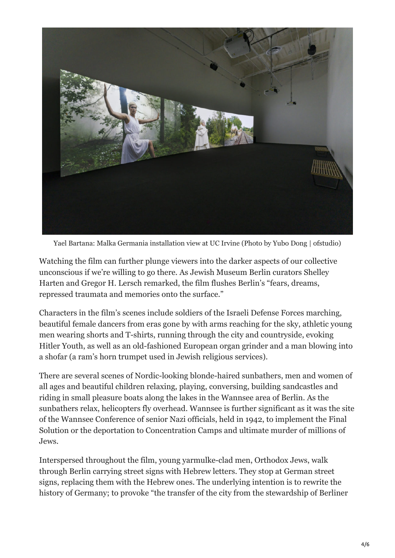

Yael Bartana: Malka Germania installation view at UC Irvine (Photo by Yubo Dong | ofstudio)

Watching the film can further plunge viewers into the darker aspects of our collective unconscious if we're willing to go there. As Jewish Museum Berlin curators Shelley Harten and Gregor H. Lersch remarked, the film flushes Berlin's "fears, dreams, repressed traumata and memories onto the surface."

Characters in the film's scenes include soldiers of the Israeli Defense Forces marching, beautiful female dancers from eras gone by with arms reaching for the sky, athletic young men wearing shorts and T-shirts, running through the city and countryside, evoking Hitler Youth, as well as an old-fashioned European organ grinder and a man blowing into a shofar (a ram's horn trumpet used in Jewish religious services).

There are several scenes of Nordic-looking blonde-haired sunbathers, men and women of all ages and beautiful children relaxing, playing, conversing, building sandcastles and riding in small pleasure boats along the lakes in the Wannsee area of Berlin. As the sunbathers relax, helicopters fly overhead. Wannsee is further significant as it was the site of the Wannsee Conference of senior Nazi officials, held in 1942, to implement the Final Solution or the deportation to Concentration Camps and ultimate murder of millions of Jews.

Interspersed throughout the film, young yarmulke-clad men, Orthodox Jews, walk through Berlin carrying street signs with Hebrew letters. They stop at German street signs, replacing them with the Hebrew ones. The underlying intention is to rewrite the history of Germany; to provoke "the transfer of the city from the stewardship of Berliner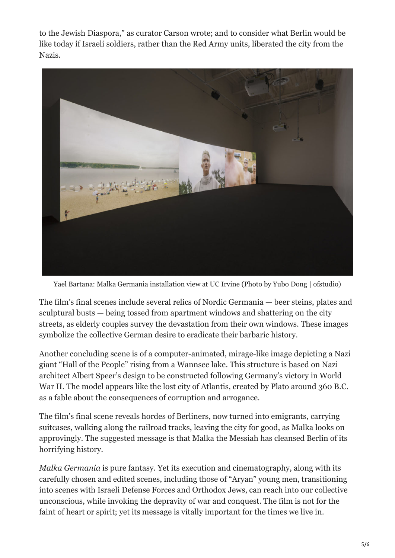to the Jewish Diaspora," as curator Carson wrote; and to consider what Berlin would be like today if Israeli soldiers, rather than the Red Army units, liberated the city from the Nazis.



Yael Bartana: Malka Germania installation view at UC Irvine (Photo by Yubo Dong | ofstudio)

The film's final scenes include several relics of Nordic Germania — beer steins, plates and sculptural busts — being tossed from apartment windows and shattering on the city streets, as elderly couples survey the devastation from their own windows. These images symbolize the collective German desire to eradicate their barbaric history.

Another concluding scene is of a computer-animated, mirage-like image depicting a Nazi giant "Hall of the People" rising from a Wannsee lake. This structure is based on Nazi architect Albert Speer's design to be constructed following Germany's victory in World War II. The model appears like the lost city of Atlantis, created by Plato around 360 B.C. as a fable about the consequences of corruption and arrogance.

The film's final scene reveals hordes of Berliners, now turned into emigrants, carrying suitcases, walking along the railroad tracks, leaving the city for good, as Malka looks on approvingly. The suggested message is that Malka the Messiah has cleansed Berlin of its horrifying history.

*Malka Germania* is pure fantasy. Yet its execution and cinematography, along with its carefully chosen and edited scenes, including those of "Aryan" young men, transitioning into scenes with Israeli Defense Forces and Orthodox Jews, can reach into our collective unconscious, while invoking the depravity of war and conquest. The film is not for the faint of heart or spirit; yet its message is vitally important for the times we live in.